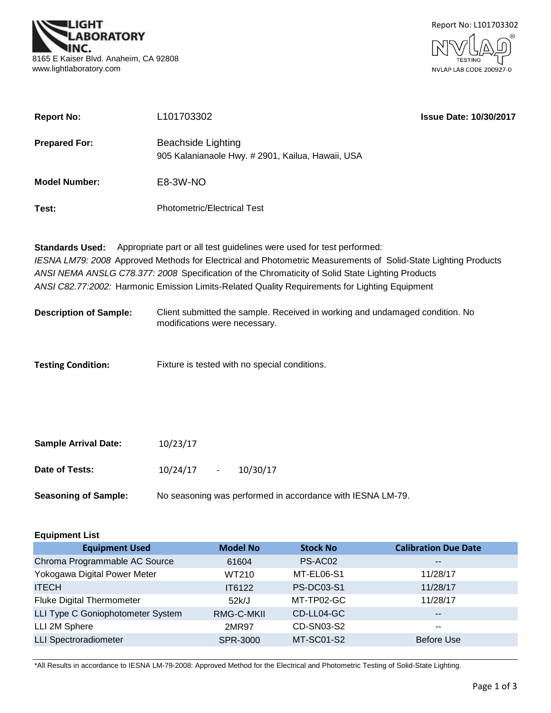



| <b>Report No:</b>      | L101703302                                                                                                                                                                              | <b>Issue Date: 10/30/2017</b> |
|------------------------|-----------------------------------------------------------------------------------------------------------------------------------------------------------------------------------------|-------------------------------|
| <b>Prepared For:</b>   | Beachside Lighting<br>905 Kalanianaole Hwy. # 2901, Kailua, Hawaii, USA                                                                                                                 |                               |
| <b>Model Number:</b>   | E8-3W-NO                                                                                                                                                                                |                               |
| Test:                  | <b>Photometric/Electrical Test</b>                                                                                                                                                      |                               |
| <b>Standards Used:</b> | Appropriate part or all test guidelines were used for test performed:<br>IESNA LM79: 2008 Approved Methods for Electrical and Photometric Measurements of Solid-State Lighting Products |                               |

*IESNA LM79: 2008* Approved Methods for Electrical and Photometric Measurements of Solid-State Lighting Products *ANSI NEMA ANSLG C78.377: 2008* Specification of the Chromaticity of Solid State Lighting Products *ANSI C82.77:2002:* Harmonic Emission Limits-Related Quality Requirements for Lighting Equipment

| <b>Description of Sample:</b> | Client submitted the sample. Received in working and undamaged condition. No |  |
|-------------------------------|------------------------------------------------------------------------------|--|
|                               | modifications were necessary.                                                |  |

Fixture is tested with no special conditions. **Testing Condition:**

| <b>Sample Arrival Date:</b> | 10/23/17 |        |                                                            |
|-----------------------------|----------|--------|------------------------------------------------------------|
| Date of Tests:              | 10/24/17 | $\sim$ | 10/30/17                                                   |
| <b>Seasoning of Sample:</b> |          |        | No seasoning was performed in accordance with IESNA LM-79. |

| <b>Equipment List</b>             |                 |                   |                             |
|-----------------------------------|-----------------|-------------------|-----------------------------|
| <b>Equipment Used</b>             | <b>Model No</b> | <b>Stock No</b>   | <b>Calibration Due Date</b> |
| Chroma Programmable AC Source     | 61604           | PS-AC02           | $- -$                       |
| Yokogawa Digital Power Meter      | WT210           | MT-EL06-S1        | 11/28/17                    |
| <b>ITECH</b>                      | IT6122          | <b>PS-DC03-S1</b> | 11/28/17                    |
| <b>Fluke Digital Thermometer</b>  | 52k/J           | MT-TP02-GC        | 11/28/17                    |
| LLI Type C Goniophotometer System | RMG-C-MKII      | CD-LL04-GC        | $\overline{\phantom{m}}$    |
| LLI 2M Sphere                     | 2MR97           | CD-SN03-S2        | $- -$                       |
| <b>LLI Spectroradiometer</b>      | SPR-3000        | MT-SC01-S2        | <b>Before Use</b>           |
|                                   |                 |                   |                             |

\*All Results in accordance to IESNA LM-79-2008: Approved Method for the Electrical and Photometric Testing of Solid-State Lighting.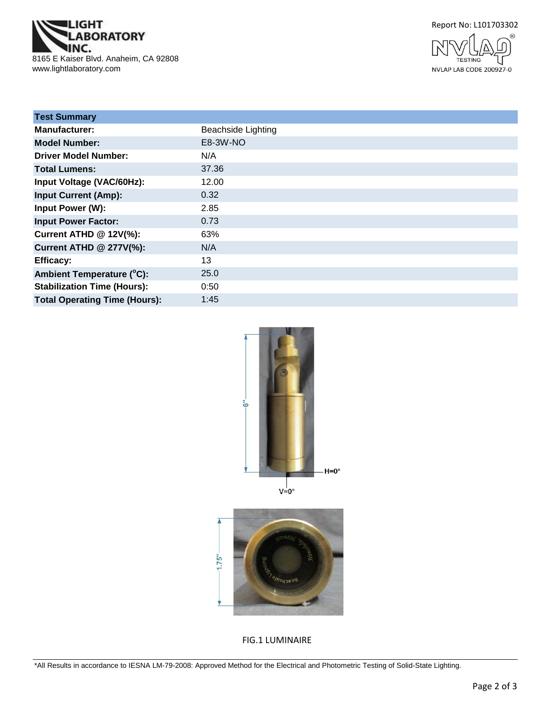





| <b>Test Summary</b>                  |                           |
|--------------------------------------|---------------------------|
| <b>Manufacturer:</b>                 | <b>Beachside Lighting</b> |
| <b>Model Number:</b>                 | E8-3W-NO                  |
| <b>Driver Model Number:</b>          | N/A                       |
| <b>Total Lumens:</b>                 | 37.36                     |
| Input Voltage (VAC/60Hz):            | 12.00                     |
| <b>Input Current (Amp):</b>          | 0.32                      |
| Input Power (W):                     | 2.85                      |
| <b>Input Power Factor:</b>           | 0.73                      |
| <b>Current ATHD @ 12V(%):</b>        | 63%                       |
| <b>Current ATHD @ 277V(%):</b>       | N/A                       |
| <b>Efficacy:</b>                     | 13                        |
| Ambient Temperature (°C):            | 25.0                      |
| <b>Stabilization Time (Hours):</b>   | 0:50                      |
| <b>Total Operating Time (Hours):</b> | 1:45                      |





FIG.1 LUMINAIRE

\*All Results in accordance to IESNA LM-79-2008: Approved Method for the Electrical and Photometric Testing of Solid-State Lighting.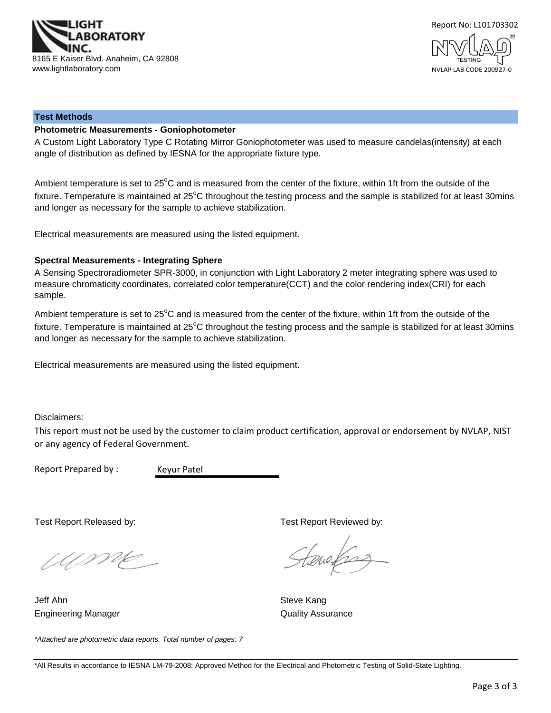



#### **Test Methods**

#### **Photometric Measurements - Goniophotometer**

A Custom Light Laboratory Type C Rotating Mirror Goniophotometer was used to measure candelas(intensity) at each angle of distribution as defined by IESNA for the appropriate fixture type.

Ambient temperature is set to 25°C and is measured from the center of the fixture, within 1ft from the outside of the fixture. Temperature is maintained at  $25^{\circ}$ C throughout the testing process and the sample is stabilized for at least 30mins and longer as necessary for the sample to achieve stabilization.

Electrical measurements are measured using the listed equipment.

#### **Spectral Measurements - Integrating Sphere**

A Sensing Spectroradiometer SPR-3000, in conjunction with Light Laboratory 2 meter integrating sphere was used to measure chromaticity coordinates, correlated color temperature(CCT) and the color rendering index(CRI) for each sample.

Ambient temperature is set to 25°C and is measured from the center of the fixture, within 1ft from the outside of the fixture. Temperature is maintained at  $25^{\circ}$ C throughout the testing process and the sample is stabilized for at least 30mins and longer as necessary for the sample to achieve stabilization.

Electrical measurements are measured using the listed equipment.

Disclaimers:

This report must not be used by the customer to claim product certification, approval or endorsement by NVLAP, NIST or any agency of Federal Government.

Report Prepared by :

Keyur Patel

Ume

*\*Attached are photometric data reports. Total number of pages: 7*

Engineering Manager **Contract Contract Contract Contract Contract Contract Contract Contract Contract Contract Contract Contract Contract Contract Contract Contract Contract Contract Contract Contract Contract Contract Con** Jeff Ahn Steve Kang

Test Report Released by: Test Report Reviewed by:

tenefras

\*All Results in accordance to IESNA LM-79-2008: Approved Method for the Electrical and Photometric Testing of Solid-State Lighting.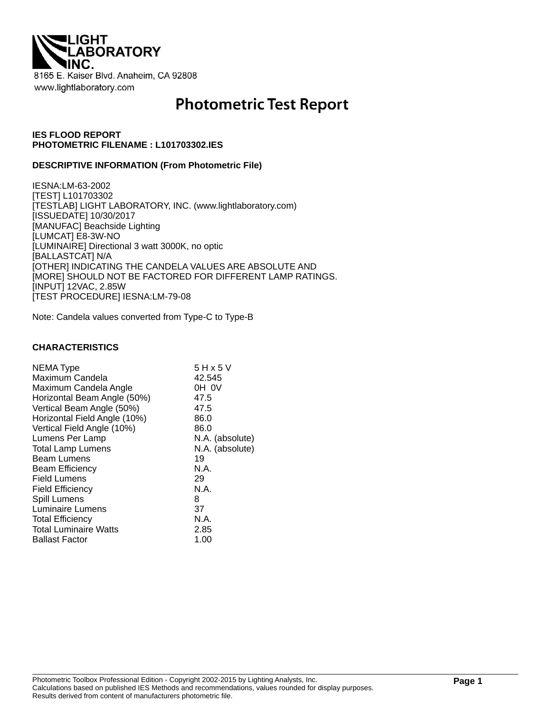

# **Photometric Test Report**

#### **IES FLOOD REPORT PHOTOMETRIC FILENAME : L101703302.IES**

#### **DESCRIPTIVE INFORMATION (From Photometric File)**

IESNA:LM-63-2002 [TEST] L101703302 [TESTLAB] LIGHT LABORATORY, INC. (www.lightlaboratory.com) [ISSUEDATE] 10/30/2017 [MANUFAC] Beachside Lighting [LUMCAT] E8-3W-NO [LUMINAIRE] Directional 3 watt 3000K, no optic [BALLASTCAT] N/A [OTHER] INDICATING THE CANDELA VALUES ARE ABSOLUTE AND [MORE] SHOULD NOT BE FACTORED FOR DIFFERENT LAMP RATINGS. [INPUT] 12VAC, 2.85W [TEST PROCEDURE] IESNA:LM-79-08

Note: Candela values converted from Type-C to Type-B

#### **CHARACTERISTICS**

| <b>NEMA Type</b>             | 5 H x 5 V       |
|------------------------------|-----------------|
| Maximum Candela              | 42.545          |
| Maximum Candela Angle        | OH OV           |
| Horizontal Beam Angle (50%)  | 47.5            |
| Vertical Beam Angle (50%)    | 47.5            |
| Horizontal Field Angle (10%) | 86.0            |
| Vertical Field Angle (10%)   | 86.0            |
| Lumens Per Lamp              | N.A. (absolute) |
| <b>Total Lamp Lumens</b>     | N.A. (absolute) |
| <b>Beam Lumens</b>           | 19              |
| <b>Beam Efficiency</b>       | N.A.            |
| <b>Field Lumens</b>          | 29              |
| <b>Field Efficiency</b>      | N.A.            |
| Spill Lumens                 | 8               |
| Luminaire Lumens             | 37              |
| <b>Total Efficiency</b>      | N.A.            |
| <b>Total Luminaire Watts</b> | 2.85            |
| <b>Ballast Factor</b>        | 1.00            |
|                              |                 |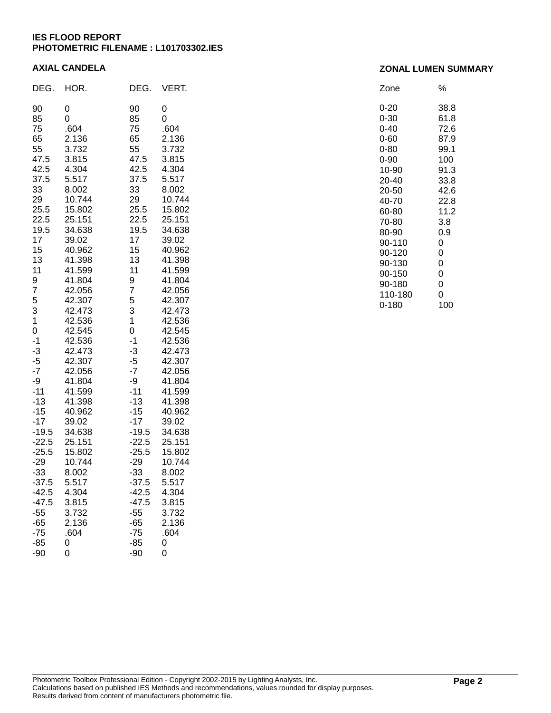#### **IES FLOOD REPORT PHOTOMETRIC FILENAME : L101703302.IES**

#### **AXIAL CANDELA**

| DEG.    | HOR.   | DEG.           | VERT.  |
|---------|--------|----------------|--------|
| 90      | 0      | 90             | 0      |
| 85      | 0      | 85             | 0      |
| 75      | .604   | 75             | .604   |
| 65      | 2.136  | 65             | 2.136  |
| 55      | 3.732  | 55             | 3.732  |
| 47.5    | 3.815  | 47.5           | 3.815  |
| 42.5    | 4.304  | 42.5           | 4.304  |
| 37.5    | 5.517  | 37.5           | 5.517  |
| 33      | 8.002  | 33             | 8.002  |
| 29      | 10.744 | 29             | 10.744 |
| 25.5    | 15.802 | 25.5           | 15.802 |
| 22.5    | 25.151 | 22.5           | 25.151 |
| 19.5    | 34.638 | 19.5           | 34.638 |
| 17      | 39.02  | 17             | 39.02  |
| 15      | 40.962 | 15             | 40.962 |
| 13      | 41.398 | 13             | 41.398 |
| 11      | 41.599 | 11             | 41.599 |
| 9       | 41.804 | 9              | 41.804 |
| 7       | 42.056 | $\overline{7}$ | 42.056 |
| 5       | 42.307 | 5              | 42.307 |
| 3       | 42.473 | 3              | 42.473 |
| 1       | 42.536 | 1              | 42.536 |
| 0       | 42.545 | 0              | 42.545 |
| $-1$    | 42.536 | $-1$           | 42.536 |
| $-3$    | 42.473 | $-3$           | 42.473 |
| $-5$    | 42.307 | $-5$           | 42.307 |
| $-7$    | 42.056 | $-7$           | 42.056 |
| -9      | 41.804 | -9             | 41.804 |
| $-11$   | 41.599 | $-11$          | 41.599 |
| $-13$   | 41.398 | $-13$          | 41.398 |
| $-15$   | 40.962 | $-15$          | 40.962 |
| $-17$   | 39.02  | $-17$          | 39.02  |
| $-19.5$ | 34.638 | $-19.5$        | 34.638 |
| $-22.5$ | 25.151 | $-22.5$        | 25.151 |
| $-25.5$ | 15.802 | $-25.5$        | 15.802 |
| $-29$   | 10.744 | $-29$          | 10.744 |
| $-33$   | 8.002  | $-33$          | 8.002  |
| $-37.5$ | 5.517  | $-37.5$        | 5.517  |
| $-42.5$ | 4.304  | -42.5          | 4.304  |
| $-47.5$ | 3.815  | $-47.5$        | 3.815  |
| $-55$   | 3.732  | $-55$          | 3.732  |
| $-65$   | 2.136  | $-65$          | 2.136  |
| $-75$   | .604   | $-75$          | .604   |
| $-85$   | 0      | $-85$          | 0      |
| $-90$   | 0      | $-90$          | 0      |

#### Zone % 0-20 38.8 0-30 61.8 0-40 72.6<br>0-60 87.9  $0 - 60$ 0-80 99.1 0-90 100 10-90 91.3 20-40 33.8 20-50 42.6 40-70 22.8 60-80 11.2 70-80 3.8 80-90 0.9 90-110 0<br>90-120 0 90-120 90-130 0 90-150 0 90-180 0 110-180 0 0-180 100

#### Photometric Toolbox Professional Edition - Copyright 2002-2015 by Lighting Analysts, Inc. Calculations based on published IES Methods and recommendations, values rounded for display purposes. Results derived from content of manufacturers photometric file.

## **ZONAL LUMEN SUMMARY**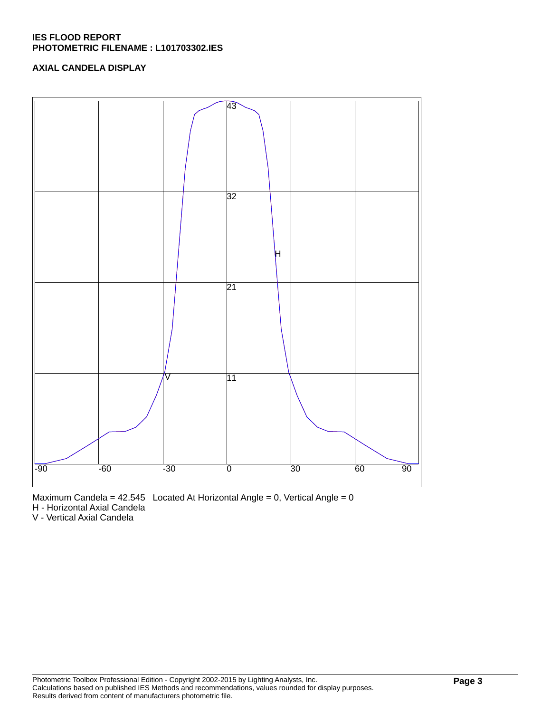## **IES FLOOD REPORT PHOTOMETRIC FILENAME : L101703302.IES**

# **AXIAL CANDELA DISPLAY**



Maximum Candela =  $42.545$  Located At Horizontal Angle = 0, Vertical Angle = 0

H - Horizontal Axial Candela

V - Vertical Axial Candela